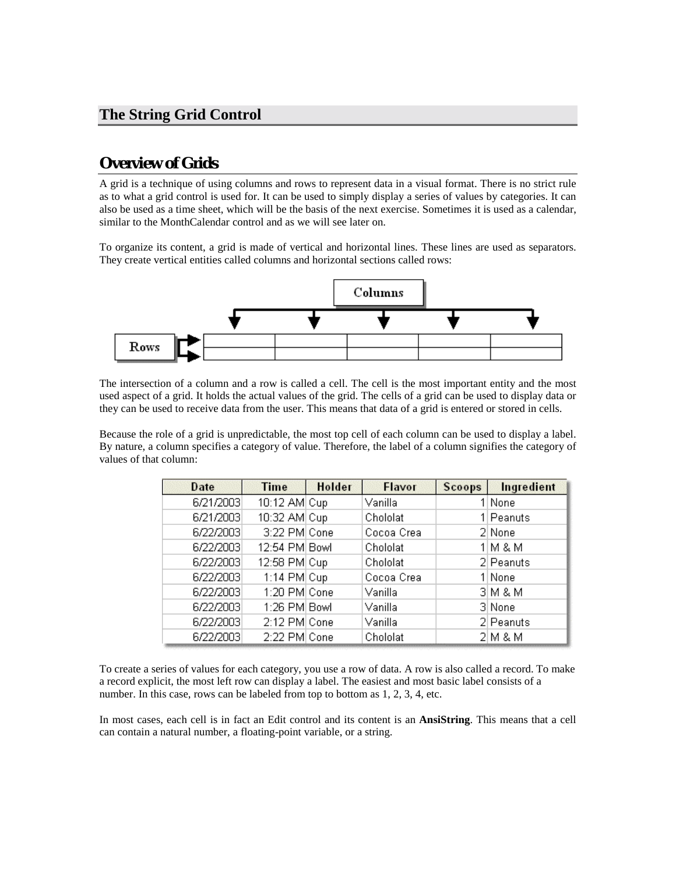### **The String Grid Control**

### **Overview of Grids**

A grid is a technique of using columns and rows to represent data in a visual format. There is no strict rule as to what a grid control is used for. It can be used to simply display a series of values by categories. It can also be used as a time sheet, which will be the basis of the next exercise. Sometimes it is used as a calendar, similar to the MonthCalendar control and as we will see later on.

To organize its content, a grid is made of vertical and horizontal lines. These lines are used as separators. They create vertical entities called columns and horizontal sections called rows:



The intersection of a column and a row is called a cell. The cell is the most important entity and the most used aspect of a grid. It holds the actual values of the grid. The cells of a grid can be used to display data or they can be used to receive data from the user. This means that data of a grid is entered or stored in cells.

Because the role of a grid is unpredictable, the most top cell of each column can be used to display a label. By nature, a column specifies a category of value. Therefore, the label of a column signifies the category of values of that column:

| <b>Date</b> | <b>Time</b>   | Holder | Flavor     | <b>Scoops</b> | Ingredient |
|-------------|---------------|--------|------------|---------------|------------|
| 6/21/2003   | 10:12 AM Cup  |        | Vanilla    |               | 1 None     |
| 6/21/2003   | 10:32 AM Cup  |        | Chololat   |               | 1 Peanuts  |
| 6/22/2003   | 3:22 PM Cone  |        | Cocoa Crea |               | 2 None     |
| 6/22/2003   | 12:54 PM Bowl |        | Chololat   |               | $1 M$ & M  |
| 6/22/2003   | 12:58 PM Cup  |        | Chololat   |               | 2 Peanuts  |
| 6/22/2003   | 1:14 $PM Cup$ |        | Cocoa Crea |               | 1 None     |
| 6/22/2003   | 1:20 PM Cone  |        | Vanilla    |               | $3$ M & M  |
| 6/22/2003   | 1:26 PM Bowl  |        | Vanilla    |               | 3 None     |
| 6/22/2003   | 2:12 PM Cone  |        | Vanilla    |               | 2 Peanuts  |
| 6/22/2003   | 2:22 PM Cone  |        | Chololat   |               | $2 M$ & M  |

To create a series of values for each category, you use a row of data. A row is also called a record. To make a record explicit, the most left row can display a label. The easiest and most basic label consists of a number. In this case, rows can be labeled from top to bottom as 1, 2, 3, 4, etc.

In most cases, each cell is in fact an Edit control and its content is an **AnsiString**. This means that a cell can contain a natural number, a floating-point variable, or a string.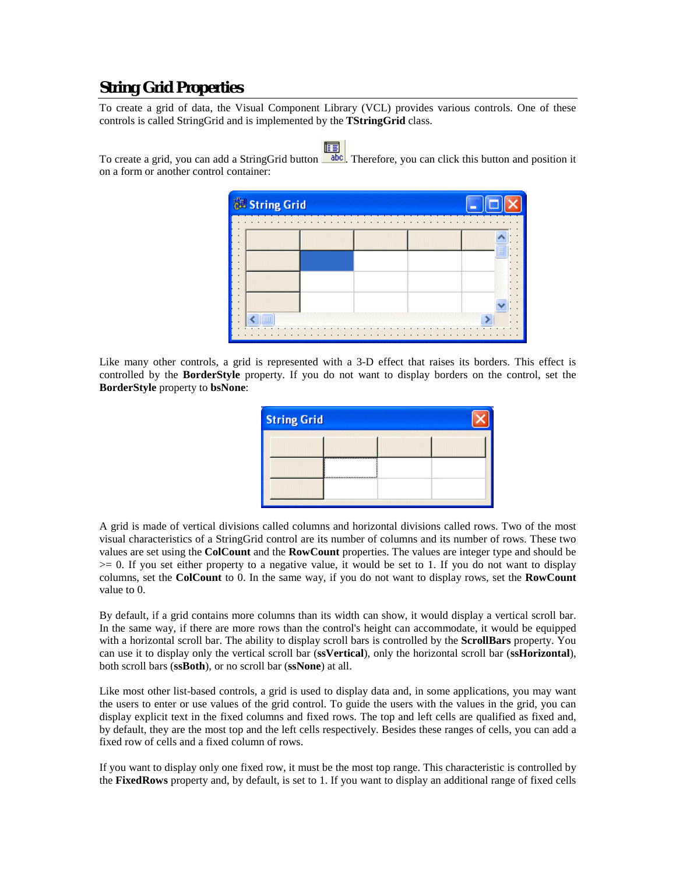## **String Grid Properties**

To create a grid of data, the Visual Component Library (VCL) provides various controls. One of these controls is called StringGrid and is implemented by the **TStringGrid** class.

To create a grid, you can add a StringGrid button  $\Box$  abc. Therefore, you can click this button and position it on a form or another control container:



Like many other controls, a grid is represented with a 3-D effect that raises its borders. This effect is controlled by the **BorderStyle** property. If you do not want to display borders on the control, set the **BorderStyle** property to **bsNone**:

| <b>String Grid</b> |  |  |
|--------------------|--|--|
|                    |  |  |
|                    |  |  |
|                    |  |  |

A grid is made of vertical divisions called columns and horizontal divisions called rows. Two of the most visual characteristics of a StringGrid control are its number of columns and its number of rows. These two values are set using the **ColCount** and the **RowCount** properties. The values are integer type and should be  $>= 0$ . If you set either property to a negative value, it would be set to 1. If you do not want to display columns, set the **ColCount** to 0. In the same way, if you do not want to display rows, set the **RowCount** value to 0.

By default, if a grid contains more columns than its width can show, it would display a vertical scroll bar. In the same way, if there are more rows than the control's height can accommodate, it would be equipped with a horizontal scroll bar. The ability to display scroll bars is controlled by the **ScrollBars** property. You can use it to display only the vertical scroll bar (**ssVertical**), only the horizontal scroll bar (**ssHorizontal**), both scroll bars (**ssBoth**), or no scroll bar (**ssNone**) at all.

Like most other list-based controls, a grid is used to display data and, in some applications, you may want the users to enter or use values of the grid control. To guide the users with the values in the grid, you can display explicit text in the fixed columns and fixed rows. The top and left cells are qualified as fixed and, by default, they are the most top and the left cells respectively. Besides these ranges of cells, you can add a fixed row of cells and a fixed column of rows.

If you want to display only one fixed row, it must be the most top range. This characteristic is controlled by the **FixedRows** property and, by default, is set to 1. If you want to display an additional range of fixed cells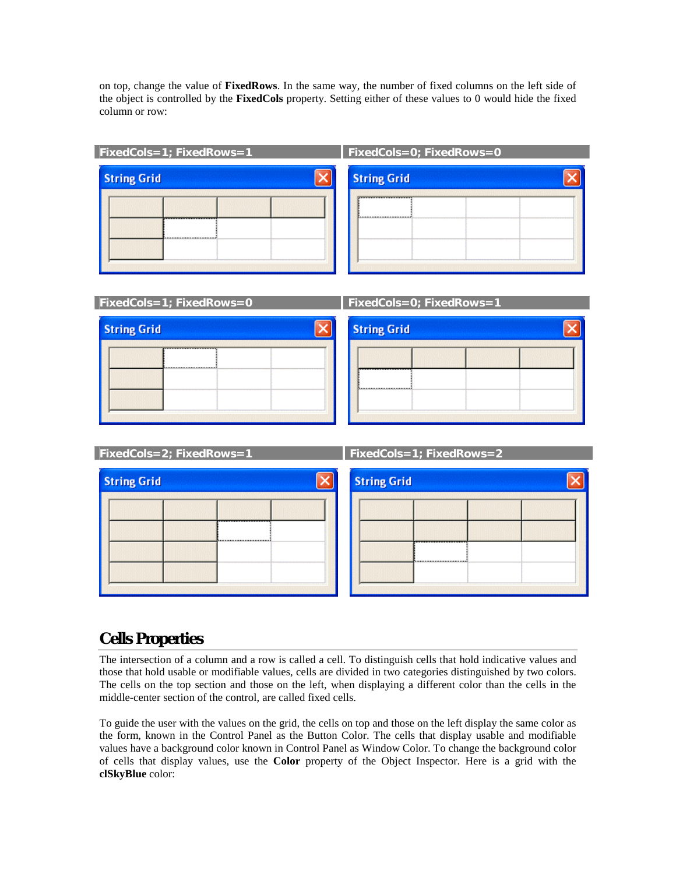on top, change the value of **FixedRows**. In the same way, the number of fixed columns on the left side of the object is controlled by the **FixedCols** property. Setting either of these values to 0 would hide the fixed column or row:

| $FixedCoIs=1$ ; FixedRows=1 | FixedCols=0; FixedRows=0            |
|-----------------------------|-------------------------------------|
| <b>String Grid</b>          | <b>String Grid</b>                  |
|                             | ,,,,,,,,,,,,,,,,,,,,,,,,,,,,,,,<br> |

| FixedCols=1; FixedRows=0 | <b>FixedCols=0; FixedRows=1</b> |
|--------------------------|---------------------------------|
| <b>String Grid</b>       | <b>String Grid</b>              |
|                          |                                 |
|                          |                                 |
|                          |                                 |

| FixedCols=2; FixedRows=1 | $FixedCols = 1$ ; $FixedRows = 2$ |
|--------------------------|-----------------------------------|
| <b>String Grid</b>       | <b>String Grid</b>                |
|                          |                                   |
|                          |                                   |
|                          |                                   |
|                          |                                   |

## **Cells Properties**

I

The intersection of a column and a row is called a cell. To distinguish cells that hold indicative values and those that hold usable or modifiable values, cells are divided in two categories distinguished by two colors. The cells on the top section and those on the left, when displaying a different color than the cells in the middle-center section of the control, are called fixed cells.

To guide the user with the values on the grid, the cells on top and those on the left display the same color as the form, known in the Control Panel as the Button Color. The cells that display usable and modifiable values have a background color known in Control Panel as Window Color. To change the background color of cells that display values, use the **Color** property of the Object Inspector. Here is a grid with the **clSkyBlue** color: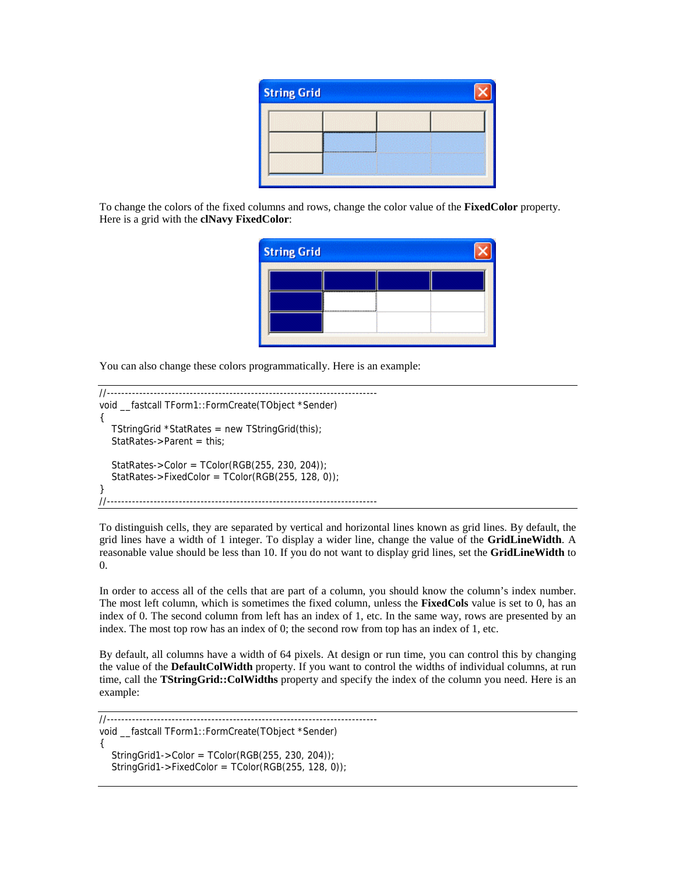| <b>String Grid</b> |  |
|--------------------|--|
|                    |  |
|                    |  |
|                    |  |

To change the colors of the fixed columns and rows, change the color value of the **FixedColor** property. Here is a grid with the **clNavy FixedColor**:

| <b>String Grid</b> |  |  |
|--------------------|--|--|
|                    |  |  |
|                    |  |  |
|                    |  |  |

You can also change these colors programmatically. Here is an example:

```
//--------------------------------------------------------------------------- 
void __fastcall TForm1::FormCreate(TObject *Sender) 
{ 
    TStringGrid *StatRates = new TStringGrid(this); 
  StatRates->Parent = this;
   StatRates->Color = TColor(RGB(255, 230, 204)); 
   StatRates->FixedColor = TColor(RGB(255, 128, 0));
} 
//---------------------------------------------------------------------------
```
To distinguish cells, they are separated by vertical and horizontal lines known as grid lines. By default, the grid lines have a width of 1 integer. To display a wider line, change the value of the **GridLineWidth**. A reasonable value should be less than 10. If you do not want to display grid lines, set the **GridLineWidth** to 0.

In order to access all of the cells that are part of a column, you should know the column's index number. The most left column, which is sometimes the fixed column, unless the **FixedCols** value is set to 0, has an index of 0. The second column from left has an index of 1, etc. In the same way, rows are presented by an index. The most top row has an index of 0; the second row from top has an index of 1, etc.

By default, all columns have a width of 64 pixels. At design or run time, you can control this by changing the value of the **DefaultColWidth** property. If you want to control the widths of individual columns, at run time, call the **TStringGrid::ColWidths** property and specify the index of the column you need. Here is an example:

//-------------------------------------------------------------------------- void \_\_fastcall TForm1::FormCreate(TObject \*Sender) {  $StringGrid1->Color = TColor(RGB(255, 230, 204));$  $StringGrid1->FixedColor = TColor(RGB(255, 128, 0))$ ;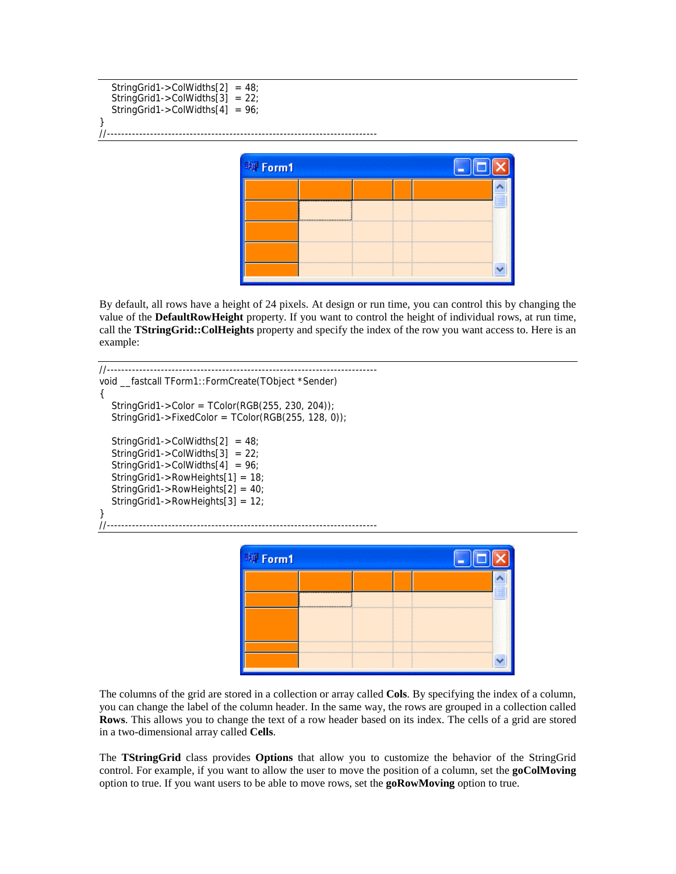```
 StringGrid1->ColWidths[2] = 48; 
    StringGrid1->ColWidths[3] = 22; 
    StringGrid1->ColWidths[4] = 96; 
}<br>//-------
              //---------------------------------------------------------------------------
```


By default, all rows have a height of 24 pixels. At design or run time, you can control this by changing the value of the **DefaultRowHeight** property. If you want to control the height of individual rows, at run time, call the **TStringGrid::ColHeights** property and specify the index of the row you want access to. Here is an example:

```
//--------------------------------------------------------------------------- 
void fastcall TForm1::FormCreate(TObject *Sender)
{ 
  StringGrid1->Color = TColor(RGB(255, 230, 204)); StringGrid1->FixedColor = TColor(RGB(255, 128, 0)); 
   StringGrid1->ColWidths[2] = 48; 
   StringGrid1->ColWidths[3] = 22; 
   StringGrid1->ColWidths[4] = 96; 
   StringGrid1->RowHeights[1] = 18; 
   StringGrid1->RowHeights[2] = 40; 
   StringGrid1->RowHeights[3] = 12; 
} 
//---------------------------------------------------------------------------
```

| 聊 Form1 |  |  |  |
|---------|--|--|--|
|         |  |  |  |
|         |  |  |  |
|         |  |  |  |
|         |  |  |  |

The columns of the grid are stored in a collection or array called **Cols**. By specifying the index of a column, you can change the label of the column header. In the same way, the rows are grouped in a collection called **Rows**. This allows you to change the text of a row header based on its index. The cells of a grid are stored in a two-dimensional array called **Cells**.

The **TStringGrid** class provides **Options** that allow you to customize the behavior of the StringGrid control. For example, if you want to allow the user to move the position of a column, set the **goColMoving** option to true. If you want users to be able to move rows, set the **goRowMoving** option to true.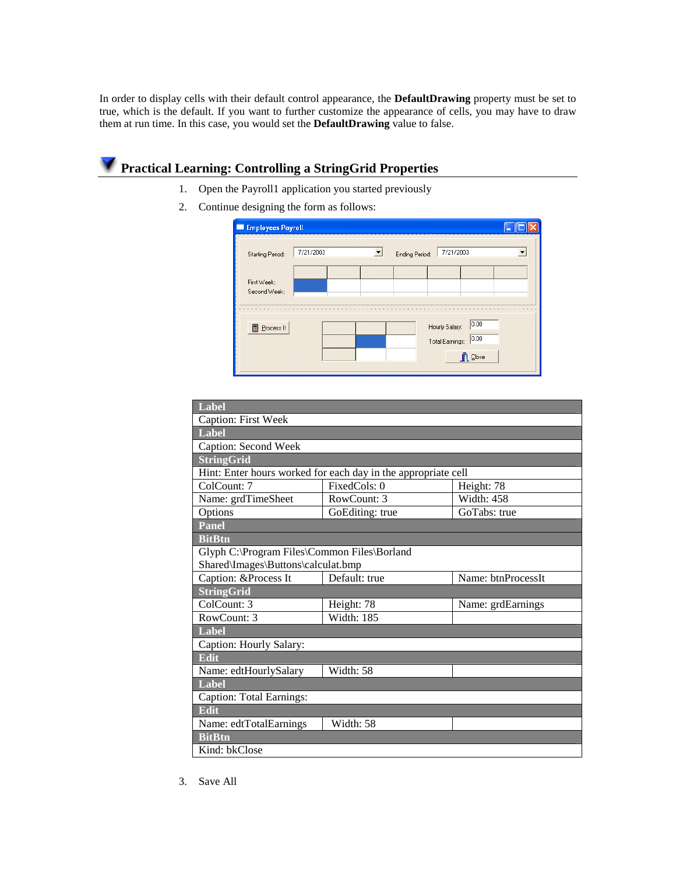In order to display cells with their default control appearance, the **DefaultDrawing** property must be set to true, which is the default. If you want to further customize the appearance of cells, you may have to draw them at run time. In this case, you would set the **DefaultDrawing** value to false.

# **Practical Learning: Controlling a StringGrid Properties**

- 1. Open the Payroll1 application you started previously
- 2. Continue designing the form as follows:

| <b>Starting Period:</b>     | 7/21/2003 | $\overline{\phantom{a}}$ | Ending Period: | 7/21/2003      |      |  |
|-----------------------------|-----------|--------------------------|----------------|----------------|------|--|
| First Week:<br>Second Week: |           |                          |                |                |      |  |
|                             |           |                          |                |                |      |  |
| <b>Process It</b>           |           |                          |                | Hourly Salary: | 0.00 |  |

| Label                                       |                                                               |                    |  |  |  |  |
|---------------------------------------------|---------------------------------------------------------------|--------------------|--|--|--|--|
| <b>Caption: First Week</b>                  |                                                               |                    |  |  |  |  |
| Label                                       |                                                               |                    |  |  |  |  |
| Caption: Second Week                        |                                                               |                    |  |  |  |  |
| <b>StringGrid</b>                           |                                                               |                    |  |  |  |  |
|                                             | Hint: Enter hours worked for each day in the appropriate cell |                    |  |  |  |  |
| ColCount: 7                                 | FixedCols: 0                                                  | Height: 78         |  |  |  |  |
| Name: grdTimeSheet                          | RowCount: 3                                                   | <b>Width: 458</b>  |  |  |  |  |
| Options                                     | GoEditing: true                                               | GoTabs: true       |  |  |  |  |
| Panel                                       |                                                               |                    |  |  |  |  |
| <b>BitBtn</b>                               |                                                               |                    |  |  |  |  |
| Glyph C:\Program Files\Common Files\Borland |                                                               |                    |  |  |  |  |
| Shared\Images\Buttons\calculat.bmp          |                                                               |                    |  |  |  |  |
| Caption: &Process It                        | Default: true                                                 | Name: btnProcessIt |  |  |  |  |
| StringGrid                                  |                                                               |                    |  |  |  |  |
| ColCount: 3                                 | Height: 78                                                    | Name: grdEarnings  |  |  |  |  |
| RowCount: 3                                 | Width: 185                                                    |                    |  |  |  |  |
| Label                                       |                                                               |                    |  |  |  |  |
| Caption: Hourly Salary:                     |                                                               |                    |  |  |  |  |
| <b>Edit</b>                                 |                                                               |                    |  |  |  |  |
| Name: edtHourlySalary                       | Width: 58                                                     |                    |  |  |  |  |
| Label                                       |                                                               |                    |  |  |  |  |
| Caption: Total Earnings:                    |                                                               |                    |  |  |  |  |
| <b>Edit</b>                                 |                                                               |                    |  |  |  |  |
| Name: edtTotalEarnings                      | Width: 58                                                     |                    |  |  |  |  |
| <b>BitBtn</b>                               |                                                               |                    |  |  |  |  |
| Kind: bkClose                               |                                                               |                    |  |  |  |  |

3. Save All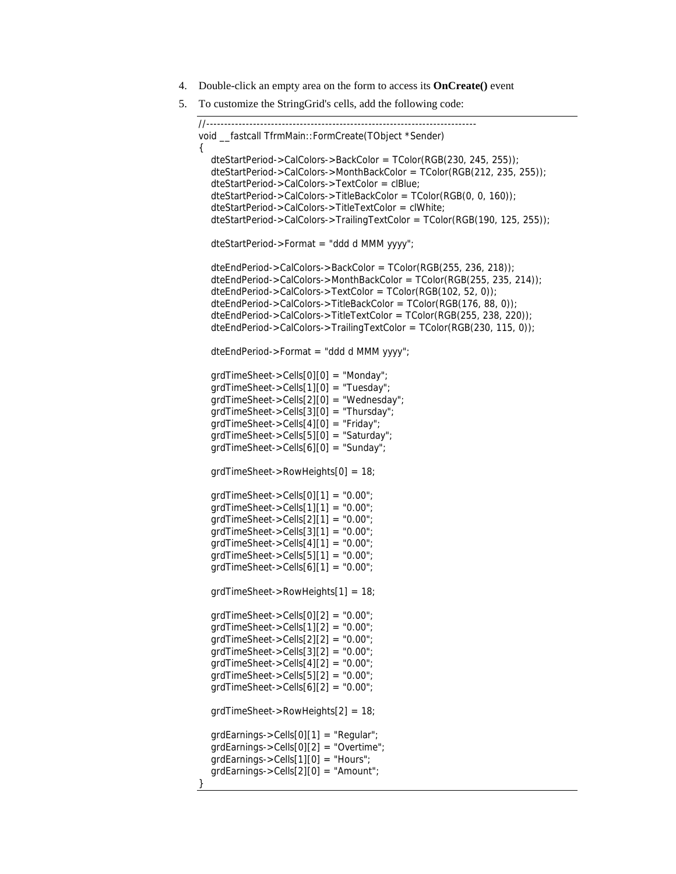- 4. Double-click an empty area on the form to access its **OnCreate()** event
- 5. To customize the StringGrid's cells, add the following code:

```
//--------------------------------------------------------------------------- 
void fastcall TfrmMain::FormCreate(TObject *Sender)
{ 
   dteStartPeriod->CalColors->BackColor = TColor(RGB(230, 245, 255)); 
   dteStartPeriod->CalColors->MonthBackColor = TColor(RGB(212, 235, 255)); 
   dteStartPeriod->CalColors->TextColor = clBlue; 
   dteStartPeriod->CalColors->TitleBackColor = TColor(RGB(0, 0, 160)); 
   dteStartPeriod->CalColors->TitleTextColor = clWhite; 
   dteStartPeriod->CalColors->TrailingTextColor = TColor(RGB(190, 125, 255)); 
   dteStartPeriod->Format = "ddd d MMM yyyy"; 
   dteEndPeriod->CalColors->BackColor = TColor(RGB(255, 236, 218)); 
   dteEndPeriod->CalColors->MonthBackColor = TColor(RGB(255, 235, 214)); 
   dteEndPeriod->CalColors->TextColor = TColor(RGB(102, 52, 0)); 
   dteEndPeriod->CalColors->TitleBackColor = TColor(RGB(176, 88, 0)); 
   dteEndPeriod->CalColors->TitleTextColor = TColor(RGB(255, 238, 220)); 
   dteEndPeriod->CalColors->TrailingTextColor = TColor(RGB(230, 115, 0)); 
   dteEndPeriod->Format = "ddd d MMM yyyy"; 
   grdTimeSheet->Cells[0][0] = "Monday"; 
   grdTimeSheet->Cells[1][0] = "Tuesday"; 
   grdTimeSheet->Cells[2][0] = "Wednesday"; 
   grdTimeSheet->Cells[3][0] = "Thursday"; 
   grdTimeSheet->Cells[4][0] = "Friday"; 
   grdTimeSheet->Cells[5][0] = "Saturday"; 
   grdTimeSheet->Cells[6][0] = "Sunday"; 
   grdTimeSheet->RowHeights[0] = 18; 
  qrdTimeSheet > Cells[0][1] = "0.00";grdTimeSheet->Cells[1][1] = "0.00";
   grdTimeSheet->Cells[2][1] = "0.00"; 
  grdTimeSheet->Cells[3][1] = "0.00";
  grdTimeSheet->Cells[4][1] = "0.00";
  grdTimeSheet->Cells[5][1] = "0.00";
  qrdTimeSheet->Cells[6][1] = "0.00";
   grdTimeSheet->RowHeights[1] = 18; 
  qrdTimeSheet->Cells[0][2] = "0.00";grdTimeSheet->Cells[1][2] = "0.00";qrdTimeSheet->Cells[2][2] = "0.00";grdTimeSheet->Cells[3][2] = "0.00";
  qrdTimeSheet->Cells[4][2] = "0.00";
  grdTimeSheet > Cells[5][2] = "0.00";
  grdTimeSheet->Cells[6][2] = "0.00";
   grdTimeSheet->RowHeights[2] = 18; 
   grdEarnings->Cells[0][1] = "Regular"; 
   grdEarnings->Cells[0][2] = "Overtime"; 
   grdEarnings->Cells[1][0] = "Hours"; 
   grdEarnings->Cells[2][0] = "Amount"; 
}
```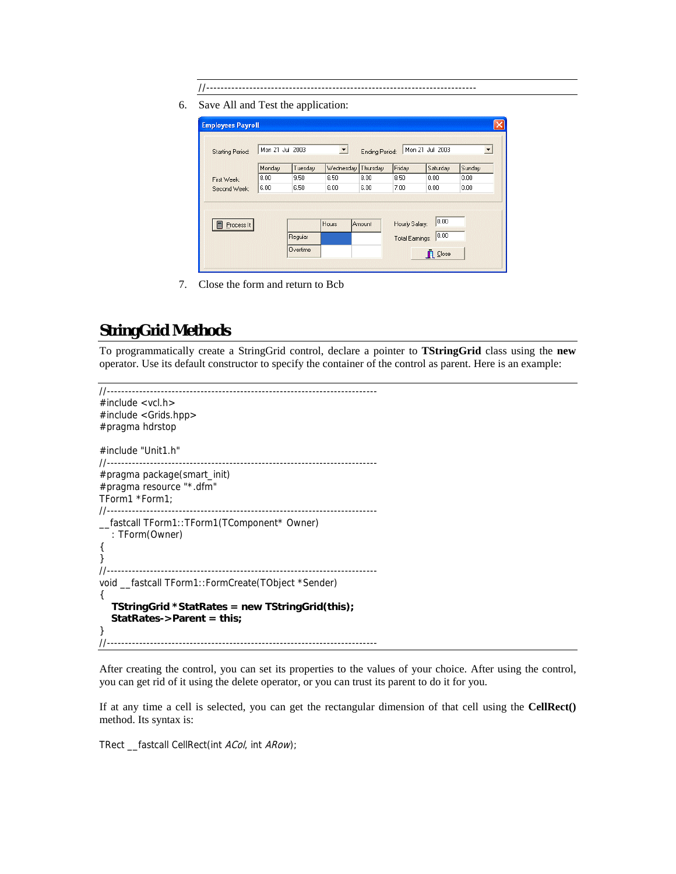- //---------------------------------------------------------------------------
- 6. Save All and Test the application:

| <b>Starting Period:</b> | Mon 21 Jul 2003 |         | ▼         | <b>Ending Period:</b> |                | Mon 21 Jul 2003 | $\overline{\phantom{a}}$ |
|-------------------------|-----------------|---------|-----------|-----------------------|----------------|-----------------|--------------------------|
|                         | Monday          | Tuesday | Wednesday | Thursday              | Friday         | Saturday        | Sunday                   |
| First Week:             | 8.00            | 9.50    | 8.50      | 8.00                  | 8.50           | 0.00            | 0.00                     |
| Second Week:            | 6.00            | 6.50    | 8.00      | 6.00                  | 7.00           | 0.00            | 0.00.                    |
|                         |                 |         |           |                       |                |                 |                          |
| <b>Process It</b>       |                 | Regular | Hours     | Amount                | Hourly Salary: | 0.00<br> 0.00   |                          |

7. Close the form and return to Bcb

### **StringGrid Methods**

To programmatically create a StringGrid control, declare a pointer to **TStringGrid** class using the **new** operator. Use its default constructor to specify the container of the control as parent. Here is an example:

```
//--------------------------------------------------------------------------- 
#include <vcl.h> 
#include <Grids.hpp> 
#pragma hdrstop 
#include "Unit1.h" 
//--------------------------------------------------------------------------- 
#pragma package(smart_init) 
#pragma resource "*.dfm" 
TForm1 *Form1; 
//--------------------------------------------------------------------------- 
__fastcall TForm1::TForm1(TComponent* Owner) 
    : TForm(Owner) 
{ 
} 
//--------------------------------------------------------------------------- 
void __fastcall TForm1::FormCreate(TObject *Sender) 
{ 
    TStringGrid *StatRates = new TStringGrid(this); 
    StatRates->Parent = this;
} 
//---------------------------------------------------------------------------
```
After creating the control, you can set its properties to the values of your choice. After using the control, you can get rid of it using the delete operator, or you can trust its parent to do it for you.

If at any time a cell is selected, you can get the rectangular dimension of that cell using the **CellRect()** method. Its syntax is:

TRect \_\_fastcall CellRect(int ACol, int ARow);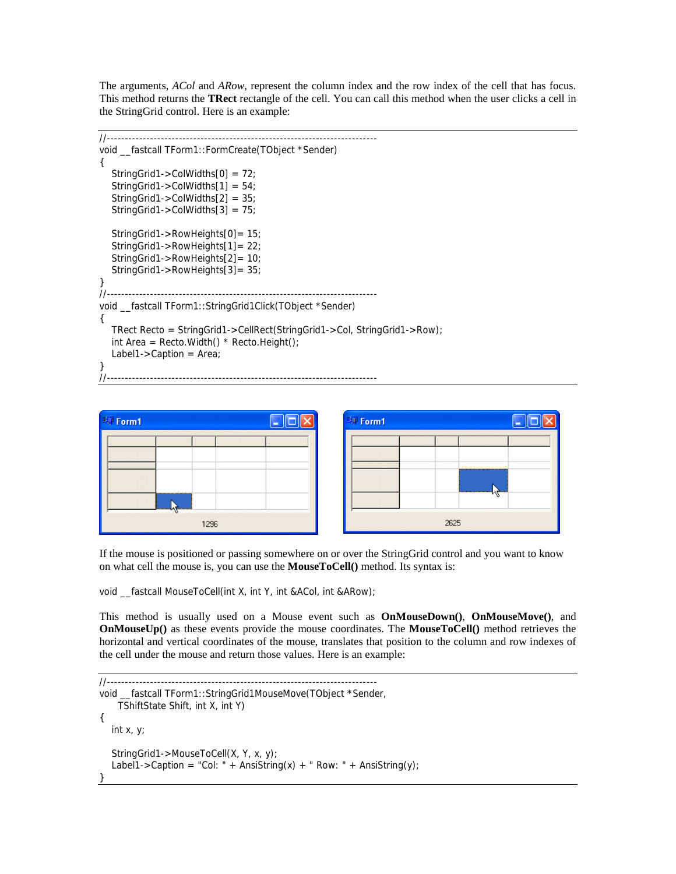The arguments, *ACol* and *ARow*, represent the column index and the row index of the cell that has focus. This method returns the **TRect** rectangle of the cell. You can call this method when the user clicks a cell in the StringGrid control. Here is an example:

```
//--------------------------------------------------------------------------- 
void __fastcall TForm1::FormCreate(TObject *Sender) 
{ 
    StringGrid1->ColWidths[0] = 72; 
    StringGrid1->ColWidths[1] = 54; 
    StringGrid1->ColWidths[2] = 35; 
    StringGrid1->ColWidths[3] = 75; 
    StringGrid1->RowHeights[0]= 15; 
    StringGrid1->RowHeights[1]= 22; 
    StringGrid1->RowHeights[2]= 10; 
    StringGrid1->RowHeights[3]= 35; 
} 
//--------------------------------------------------------------------------- 
void __fastcall TForm1::StringGrid1Click(TObject *Sender) 
{ 
   TRect Recto = StringGrid1->CellRect(StringGrid1->Col, StringGrid1->Row); 
  int Area = Recto.Width() * Recto.Height();
   Label1->Caption = Area; 
} 
//---------------------------------------------------------------------------
```

| 聊 Form1 |                          |      |  |  |
|---------|--------------------------|------|--|--|
|         |                          |      |  |  |
|         |                          |      |  |  |
|         | ************************ |      |  |  |
|         |                          |      |  |  |
|         |                          | 1296 |  |  |



If the mouse is positioned or passing somewhere on or over the StringGrid control and you want to know on what cell the mouse is, you can use the **MouseToCell()** method. Its syntax is:

void fastcall MouseToCell(int X, int Y, int &ACol, int &ARow);

This method is usually used on a Mouse event such as **OnMouseDown()**, **OnMouseMove()**, and **OnMouseUp()** as these events provide the mouse coordinates. The **MouseToCell()** method retrieves the horizontal and vertical coordinates of the mouse, translates that position to the column and row indexes of the cell under the mouse and return those values. Here is an example:

```
//--------------------------------------------------------------------------- 
void fastcall TForm1::StringGrid1MouseMove(TObject *Sender,
     TShiftState Shift, int X, int Y) 
{ 
   int x, y; 
   StringGrid1->MouseToCell(X, Y, x, y); 
  Label1->Caption = "Col: " + AnsiString(x) + " Row: " + AnsiString(y);
}
```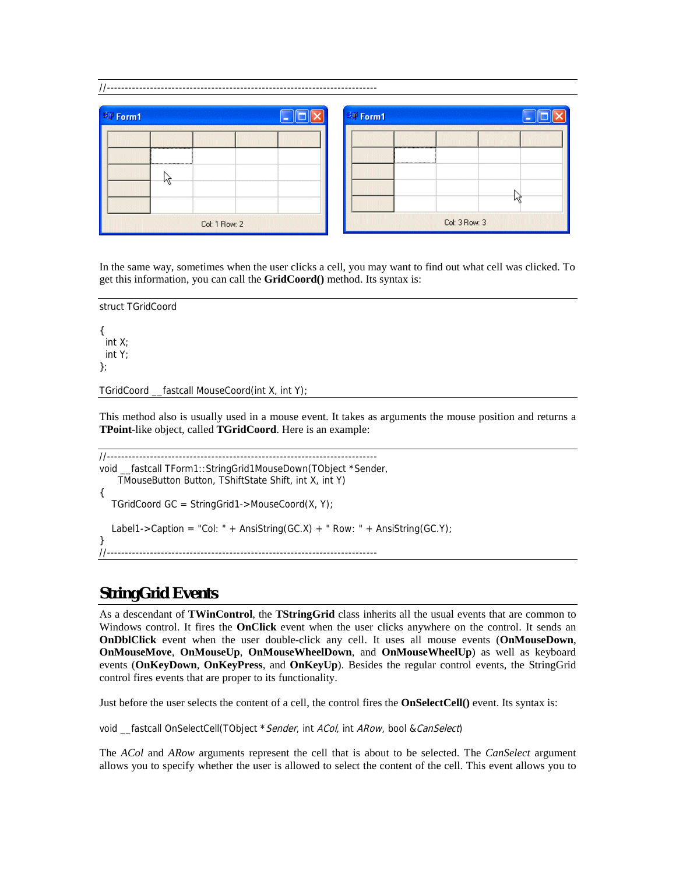| 明 Form1                                | 明 Form1                         |
|----------------------------------------|---------------------------------|
| -----------------------------<br><br>W | ,,,,,,,,,,,,,,,,,,,,,,,,,,,<br> |
| Col: 1 Row: 2                          | Col: 3 Row: 3                   |

In the same way, sometimes when the user clicks a cell, you may want to find out what cell was clicked. To get this information, you can call the **GridCoord()** method. Its syntax is:

struct TGridCoord { int X; int Y;

};

TGridCoord \_\_fastcall MouseCoord(int X, int Y);

This method also is usually used in a mouse event. It takes as arguments the mouse position and returns a **TPoint**-like object, called **TGridCoord**. Here is an example:

```
//--------------------------------------------------------------------------- 
void __fastcall TForm1::StringGrid1MouseDown(TObject *Sender, 
     TMouseButton Button, TShiftState Shift, int X, int Y) 
{ 
   TGridCoord GC = StringGrid1->MouseCoord(X, Y); 
  Label1->Caption = "Col: " + AnsiString(GC.X) + " Row: " + AnsiString(GC.Y);
} 
//---------------------------------------------------------------------------
```
## **StringGrid Events**

As a descendant of **TWinControl**, the **TStringGrid** class inherits all the usual events that are common to Windows control. It fires the **OnClick** event when the user clicks anywhere on the control. It sends an **OnDblClick** event when the user double-click any cell. It uses all mouse events (**OnMouseDown**, **OnMouseMove**, **OnMouseUp**, **OnMouseWheelDown**, and **OnMouseWheelUp**) as well as keyboard events (**OnKeyDown**, **OnKeyPress**, and **OnKeyUp**). Besides the regular control events, the StringGrid control fires events that are proper to its functionality.

Just before the user selects the content of a cell, the control fires the **OnSelectCell()** event. Its syntax is:

void \_fastcall OnSelectCell(TObject \* Sender, int ACol, int ARow, bool & CanSelect)

The *ACol* and *ARow* arguments represent the cell that is about to be selected. The *CanSelect* argument allows you to specify whether the user is allowed to select the content of the cell. This event allows you to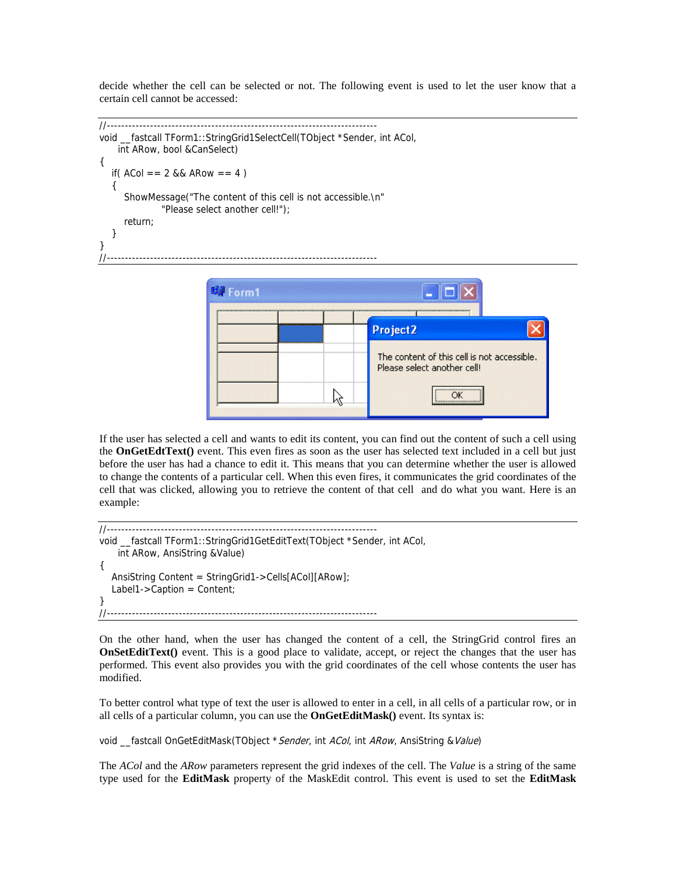decide whether the cell can be selected or not. The following event is used to let the user know that a certain cell cannot be accessed:

```
//--------------------------------------------------------------------------- 
void __fastcall TForm1::StringGrid1SelectCell(TObject *Sender, int ACol, 
     int ARow, bool &CanSelect) 
{ 
  if(ACol = 2 && ARow = 4)
\{ ShowMessage("The content of this cell is not accessible.\n" 
                "Please select another cell!"); 
       return; 
   } 
} 
//---------------------------------------------------------------------------
```


If the user has selected a cell and wants to edit its content, you can find out the content of such a cell using the **OnGetEdtText()** event. This even fires as soon as the user has selected text included in a cell but just before the user has had a chance to edit it. This means that you can determine whether the user is allowed to change the contents of a particular cell. When this even fires, it communicates the grid coordinates of the cell that was clicked, allowing you to retrieve the content of that cell and do what you want. Here is an example:

```
//--------------------------------------------------------------------------- 
void __fastcall TForm1::StringGrid1GetEditText(TObject *Sender, int ACol, 
     int ARow, AnsiString &Value) 
{ 
   AnsiString Content = StringGrid1->Cells[ACol][ARow]; 
   Label1->Caption = Content; 
} 
//---------------------------------------------------------------------------
```
On the other hand, when the user has changed the content of a cell, the StringGrid control fires an **OnSetEditText**() event. This is a good place to validate, accept, or reject the changes that the user has performed. This event also provides you with the grid coordinates of the cell whose contents the user has modified.

To better control what type of text the user is allowed to enter in a cell, in all cells of a particular row, or in all cells of a particular column, you can use the **OnGetEditMask()** event. Its syntax is:

```
void _fastcall OnGetEditMask(TObject * Sender, int ACol, int ARow, AnsiString & Value)
```
The *ACol* and the *ARow* parameters represent the grid indexes of the cell. The *Value* is a string of the same type used for the **EditMask** property of the MaskEdit control. This event is used to set the **EditMask**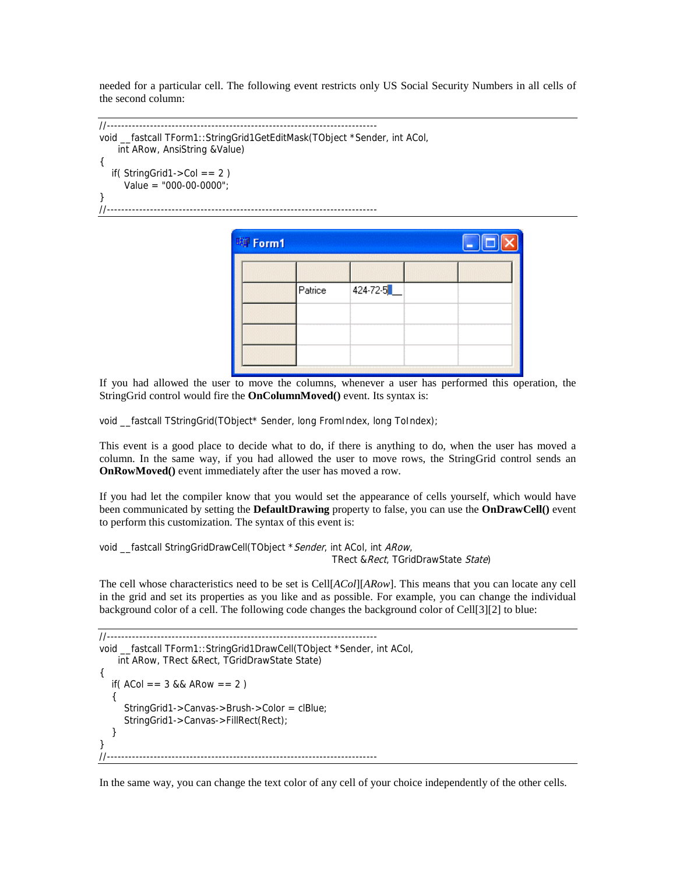needed for a particular cell. The following event restricts only US Social Security Numbers in all cells of the second column:

```
//--------------------------------------------------------------------------- 
void __fastcall TForm1::StringGrid1GetEditMask(TObject *Sender, int ACol, 
     int ARow, AnsiString &Value) 
{ 
  if(StringGrid1->Col == 2)Value = "000-00-0000";
} 
//---------------------------------------------------------------------------
```

| 聊 Form1 |         |          | $\Box$ o $\times$ |
|---------|---------|----------|-------------------|
|         |         |          |                   |
|         | Patrice | 424-72-5 |                   |
|         |         |          |                   |
|         |         |          |                   |
|         |         |          |                   |

If you had allowed the user to move the columns, whenever a user has performed this operation, the StringGrid control would fire the **OnColumnMoved()** event. Its syntax is:

void \_fastcall TStringGrid(TObject\* Sender, long FromIndex, long ToIndex);

This event is a good place to decide what to do, if there is anything to do, when the user has moved a column. In the same way, if you had allowed the user to move rows, the StringGrid control sends an **OnRowMoved()** event immediately after the user has moved a row.

If you had let the compiler know that you would set the appearance of cells yourself, which would have been communicated by setting the **DefaultDrawing** property to false, you can use the **OnDrawCell()** event to perform this customization. The syntax of this event is:

```
void _fastcall StringGridDrawCell(TObject * Sender, int ACol, int ARow,
                                                   TRect & Rect, TGridDrawState State)
```
The cell whose characteristics need to be set is Cell[*ACol*][*ARow*]. This means that you can locate any cell in the grid and set its properties as you like and as possible. For example, you can change the individual background color of a cell. The following code changes the background color of Cell[3][2] to blue:

```
//--------------------------------------------------------------------------- 
void __fastcall TForm1::StringGrid1DrawCell(TObject *Sender, int ACol, 
     int ARow, TRect &Rect, TGridDrawState State) 
{ 
  if(ACol = 3 && ARow = 2)
    { 
       StringGrid1->Canvas->Brush->Color = clBlue; 
       StringGrid1->Canvas->FillRect(Rect); 
    } 
} 
//---------------------------------------------------------------------------
```
In the same way, you can change the text color of any cell of your choice independently of the other cells.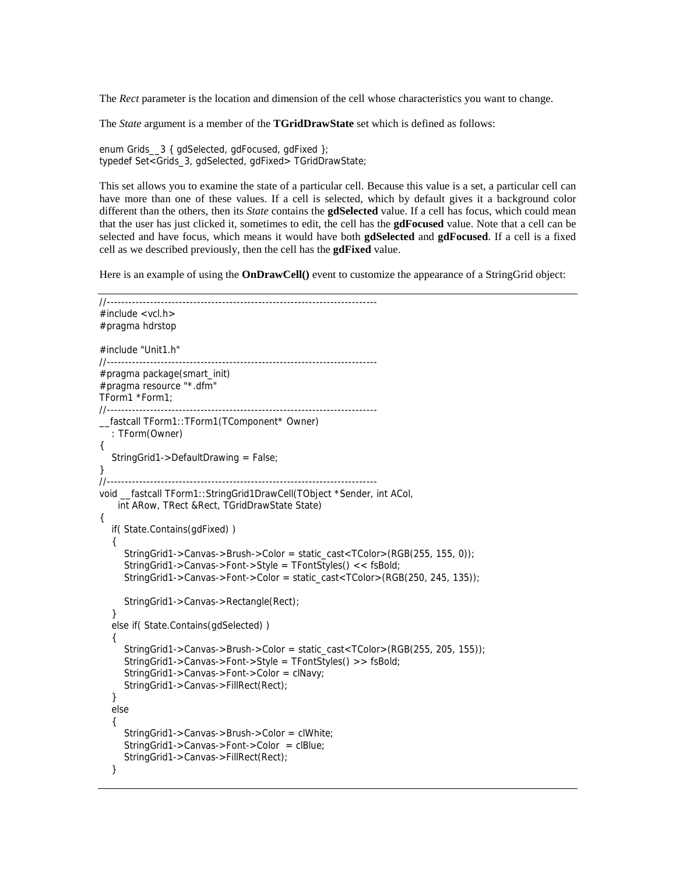The *Rect* parameter is the location and dimension of the cell whose characteristics you want to change.

The *State* argument is a member of the **TGridDrawState** set which is defined as follows:

enum Grids\_3 { gdSelected, gdFocused, gdFixed }; typedef Set<Grids\_3, gdSelected, gdFixed> TGridDrawState;

This set allows you to examine the state of a particular cell. Because this value is a set, a particular cell can have more than one of these values. If a cell is selected, which by default gives it a background color different than the others, then its *State* contains the **gdSelected** value. If a cell has focus, which could mean that the user has just clicked it, sometimes to edit, the cell has the **gdFocused** value. Note that a cell can be selected and have focus, which means it would have both **gdSelected** and **gdFocused**. If a cell is a fixed cell as we described previously, then the cell has the **gdFixed** value.

Here is an example of using the **OnDrawCell()** event to customize the appearance of a StringGrid object:

```
//--------------------------------------------------------------------------- 
\#include <vcl.h>
#pragma hdrstop 
#include "Unit1.h" 
//--------------------------------------------------------------------------- 
#pragma package(smart_init) 
#pragma resource "*.dfm" 
TForm1 *Form1; 
//--------------------------------------------------------------------------- 
__fastcall TForm1::TForm1(TComponent* Owner) 
   : TForm(Owner) 
{ 
  StringGrid1->DefaultDrawing = False:
} 
//--------------------------------------------------------------------------- 
void __fastcall TForm1::StringGrid1DrawCell(TObject *Sender, int ACol, 
     int ARow, TRect &Rect, TGridDrawState State) 
{ 
   if( State.Contains(gdFixed) ) 
   { 
      StringGrid1->Canvas->Brush->Color = static_cast<TColor>(RGB(255, 155, 0)); 
      StringGrid1->Canvas->Font->Style = TFontStyles() << fsBold; 
      StringGrid1->Canvas->Font->Color = static_cast<TColor>(RGB(250, 245, 135)); 
      StringGrid1->Canvas->Rectangle(Rect); 
   } 
   else if( State.Contains(gdSelected) ) 
   { 
      StringGrid1->Canvas->Brush->Color = static_cast<TColor>(RGB(255, 205, 155)); 
      StringGrid1->Canvas->Font->Style = TFontStyles() >> fsBold; 
      StringGrid1->Canvas->Font->Color = clNavy; 
      StringGrid1->Canvas->FillRect(Rect); 
   } 
   else 
   { 
      StringGrid1->Canvas->Brush->Color = clWhite; 
      StringGrid1->Canvas->Font->Color = clBlue; 
      StringGrid1->Canvas->FillRect(Rect); 
   }
```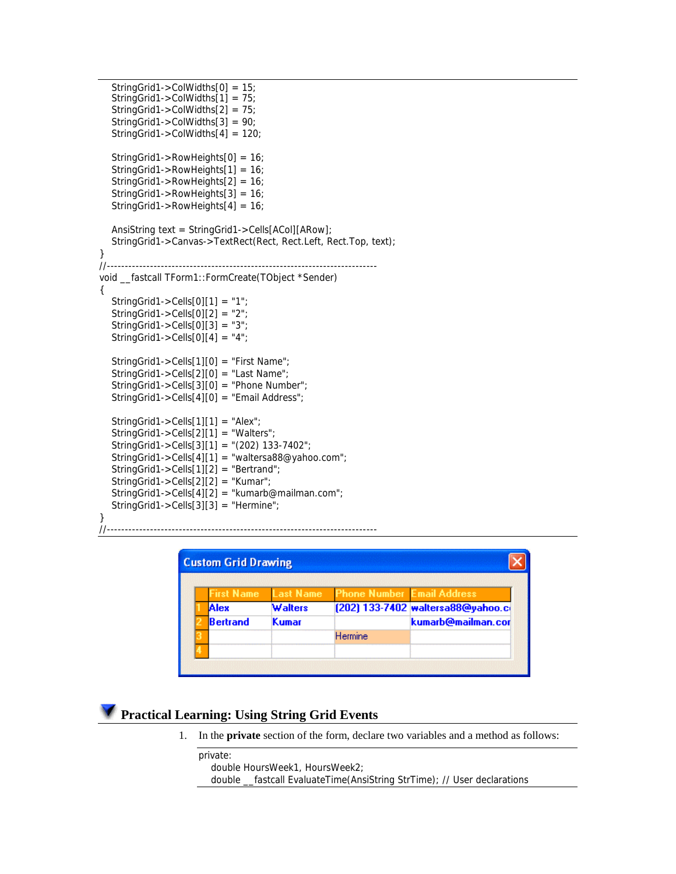```
 StringGrid1->ColWidths[0] = 15; 
   StringGrid1->ColWidths[1] = 75; 
   StringGrid1->ColWidths[2] = 75; 
   StringGrid1->ColWidths[3] = 90; 
   StringGrid1->ColWidths[4] = 120; 
   StringGrid1->RowHeights[0] = 16; 
   StringGrid1->RowHeights[1] = 16; 
   StringGrid1->RowHeights[2] = 16; 
   StringGrid1->RowHeights[3] = 16; 
   StringGrid1->RowHeights[4] = 16; 
   AnsiString text = StringGrid1->Cells[ACol][ARow]; 
   StringGrid1->Canvas->TextRect(Rect, Rect.Left, Rect.Top, text); 
} 
//--------------------------------------------------------------------------- 
void __fastcall TForm1::FormCreate(TObject *Sender) 
{ 
   StringGrid1->Cells[0][1] = "1"; 
  StringGrid1->Cells[0][2] = "2";
  StringGrid1->Cells[0][3] = "3";
  StringGrid1->Cells[0][4] = "4";
   StringGrid1->Cells[1][0] = "First Name"; 
   StringGrid1->Cells[2][0] = "Last Name"; 
   StringGrid1->Cells[3][0] = "Phone Number"; 
   StringGrid1->Cells[4][0] = "Email Address"; 
  StringGrid1->Cells[1][1] = "Alex"; StringGrid1->Cells[2][1] = "Walters"; 
   StringGrid1->Cells[3][1] = "(202) 133-7402"; 
   StringGrid1->Cells[4][1] = "waltersa88@yahoo.com"; 
   StringGrid1->Cells[1][2] = "Bertrand"; 
   StringGrid1->Cells[2][2] = "Kumar"; 
   StringGrid1->Cells[4][2] = "kumarb@mailman.com"; 
   StringGrid1->Cells[3][3] = "Hermine"; 
}
```
//---------------------------------------------------------------------------

| <b>First Name</b> | <b>Last Name</b> | <b>Phone Number Email Address</b> |                                    |
|-------------------|------------------|-----------------------------------|------------------------------------|
| Alex              | <b>Walters</b>   |                                   | [202] 133-7402 waltersa88@yahoo.co |
| Bertrand          | Kumar            |                                   | kumarb@mailman.cor                 |
|                   |                  | Hermine                           |                                    |

#### **Practical Learning: Using String Grid Events**

1. In the **private** section of the form, declare two variables and a method as follows:

```
private: 
    double HoursWeek1, HoursWeek2; 
   double __fastcall EvaluateTime(AnsiString StrTime); // User declarations
```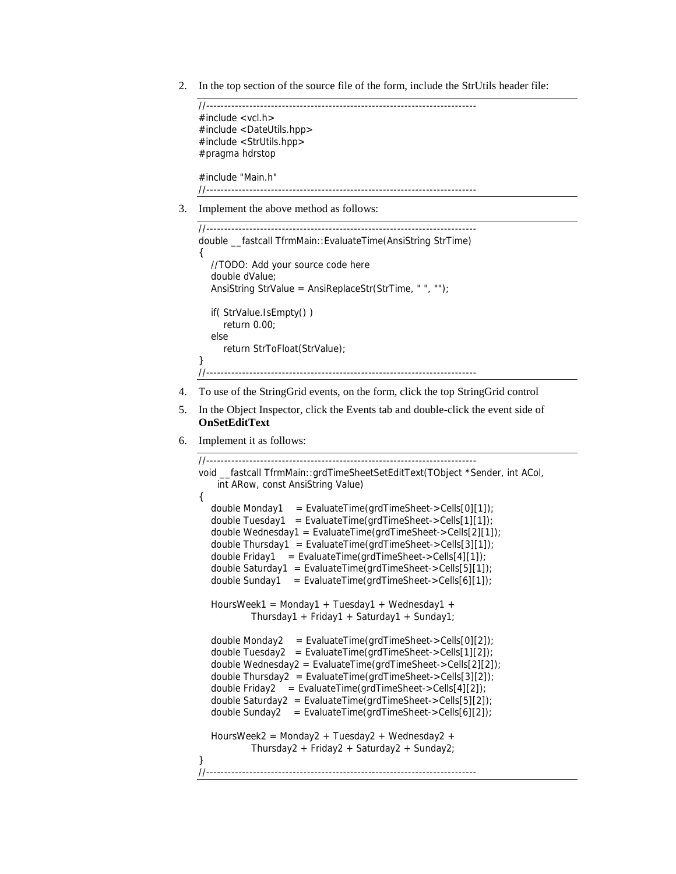2. In the top section of the source file of the form, include the StrUtils header file:

```
//--------------------------------------------------------------------------- 
#include <vcl.h> 
#include <DateUtils.hpp> 
#include <StrUtils.hpp> 
#pragma hdrstop 
#include "Main.h" 
//---------------------------------------------------------------------------
```
3. Implement the above method as follows:

```
//--------------------------------------------------------------------------- 
double __fastcall TfrmMain::EvaluateTime(AnsiString StrTime) 
{ 
    //TODO: Add your source code here 
    double dValue; 
    AnsiString StrValue = AnsiReplaceStr(StrTime, " ", ""); 
    if( StrValue.IsEmpty() ) 
       return 0.00; 
    else 
       return StrToFloat(StrValue); 
} 
//---------------------------------------------------------------------------
```
- 4. To use of the StringGrid events, on the form, click the top StringGrid control
- 5. In the Object Inspector, click the Events tab and double-click the event side of **OnSetEditText**
- 6. Implement it as follows:

```
//--------------------------------------------------------------------------- 
void fastcall TfrmMain::grdTimeSheetSetEditText(TObject *Sender, int ACol,
    int ARow, const AnsiString Value) 
{ 
   double Monday1 = EvaluateTime(grdTimeSheet->Cells[0][1]); 
  double Tuesday1 = EvaluateTime(grdTimeSheet->Cells[1][1]);
   double Wednesday1 = EvaluateTime(grdTimeSheet->Cells[2][1]); 
  double Thursday1 = EvaluateTime(grdTimeSheet->Cells[3][1]);
  double Friday1 = EvaluateTime(grdTimeSheet->Cells[4][1]);
   double Saturday1 = EvaluateTime(grdTimeSheet->Cells[5][1]); 
  double Sunday1 = EvaluateTime(grdTimeSheet->Cells[6][1]);
   HoursWeek1 = Monday1 + Tuesday1 + Wednesday1 + 
            Thursday1 + Friday1 + Saturday1 + Sunday1; 
 double Monday2 = EvaluateTime(grdTimeSheet->Cells[0][2]); 
 double Tuesday2 = EvaluateTime(grdTimeSheet->Cells[1][2]); 
   double Wednesday2 = EvaluateTime(grdTimeSheet->Cells[2][2]); 
   double Thursday2 = EvaluateTime(grdTimeSheet->Cells[3][2]); 
   double Friday2 = EvaluateTime(grdTimeSheet->Cells[4][2]); 
  double Saturday2 = EvaluateTime(grdTimeSheet->Cells[5][2]);
   double Sunday2 = EvaluateTime(grdTimeSheet->Cells[6][2]); 
   HoursWeek2 = Monday2 + Tuesday2 + Wednesday2 + 
            Thursday2 + Friday2 + Saturday2 + Sunday2; 
} 
//---------------------------------------------------------------------------
```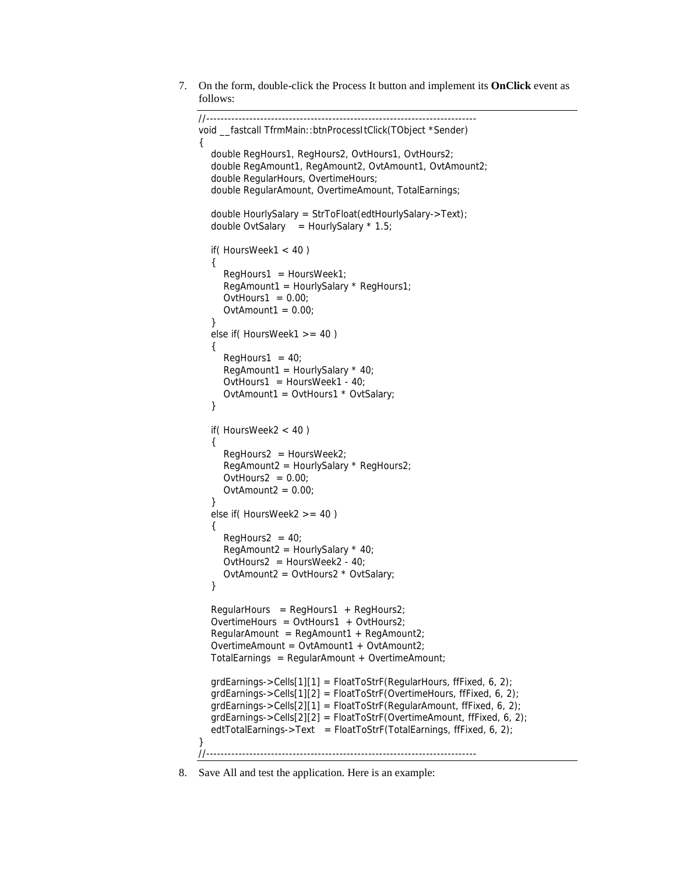7. On the form, double-click the Process It button and implement its **OnClick** event as follows:

```
//--------------------------------------------------------------------------- 
void __fastcall TfrmMain::btnProcessItClick(TObject *Sender) 
{ 
   double RegHours1, RegHours2, OvtHours1, OvtHours2; 
   double RegAmount1, RegAmount2, OvtAmount1, OvtAmount2; 
   double RegularHours, OvertimeHours; 
   double RegularAmount, OvertimeAmount, TotalEarnings; 
   double HourlySalary = StrToFloat(edtHourlySalary->Text); 
  double OvtSalary = HourlySalary * 1.5;
   if( HoursWeek1 < 40 ) 
   { 
     RegHours1 = HoursWeek1; RegAmount1 = HourlySalary * RegHours1; 
     OvtHours1 = 0.00;
     OvtAmount1 = 0.00;
   } 
   else if( HoursWeek1 >= 40 ) 
   { 
     ReqHours1 = 40;
     RegAmount1 = HourlySalary * 40;
     OvtHours1 = HoursWeek1 - 40;
      OvtAmount1 = OvtHours1 * OvtSalary; 
   } 
   if( HoursWeek2 < 40 ) 
   { 
      RegHours2 = HoursWeek2; 
      RegAmount2 = HourlySalary * RegHours2; 
     OvtHours2 = 0.00OvtAmount2 = 0.00 } 
   else if( HoursWeek2 >= 40 ) 
   { 
     ReqHours2 = 40;
     RegAmount2 = HourlySalary * 40;
     OvtHours2 = HoursWeek2 - 40;
      OvtAmount2 = OvtHours2 * OvtSalary; 
   } 
  Regular Hours = RegHouse1 + RegHouse2; OvertimeHours = OvtHours1 + OvtHours2; 
  RegularAmount = RegAmount + RegAmount2; OvertimeAmount = OvtAmount1 + OvtAmount2; 
  TotalEarnings = RegularAmount + OvertimeAmount;grdEarnings->Cells[1][1] = FloatToStrF(Regular Hours, ffFixed, 6, 2); grdEarnings->Cells[1][2] = FloatToStrF(OvertimeHours, ffFixed, 6, 2); 
   grdEarnings->Cells[2][1] = FloatToStrF(RegularAmount, ffFixed, 6, 2); 
   grdEarnings->Cells[2][2] = FloatToStrF(OvertimeAmount, ffFixed, 6, 2); 
  edtTotalEarnings->Text = FloatToStrF(TotalEarnings, ffFixed, 6, 2);
} 
//---------------------------------------------------------------------------
```
<sup>8.</sup> Save All and test the application. Here is an example: